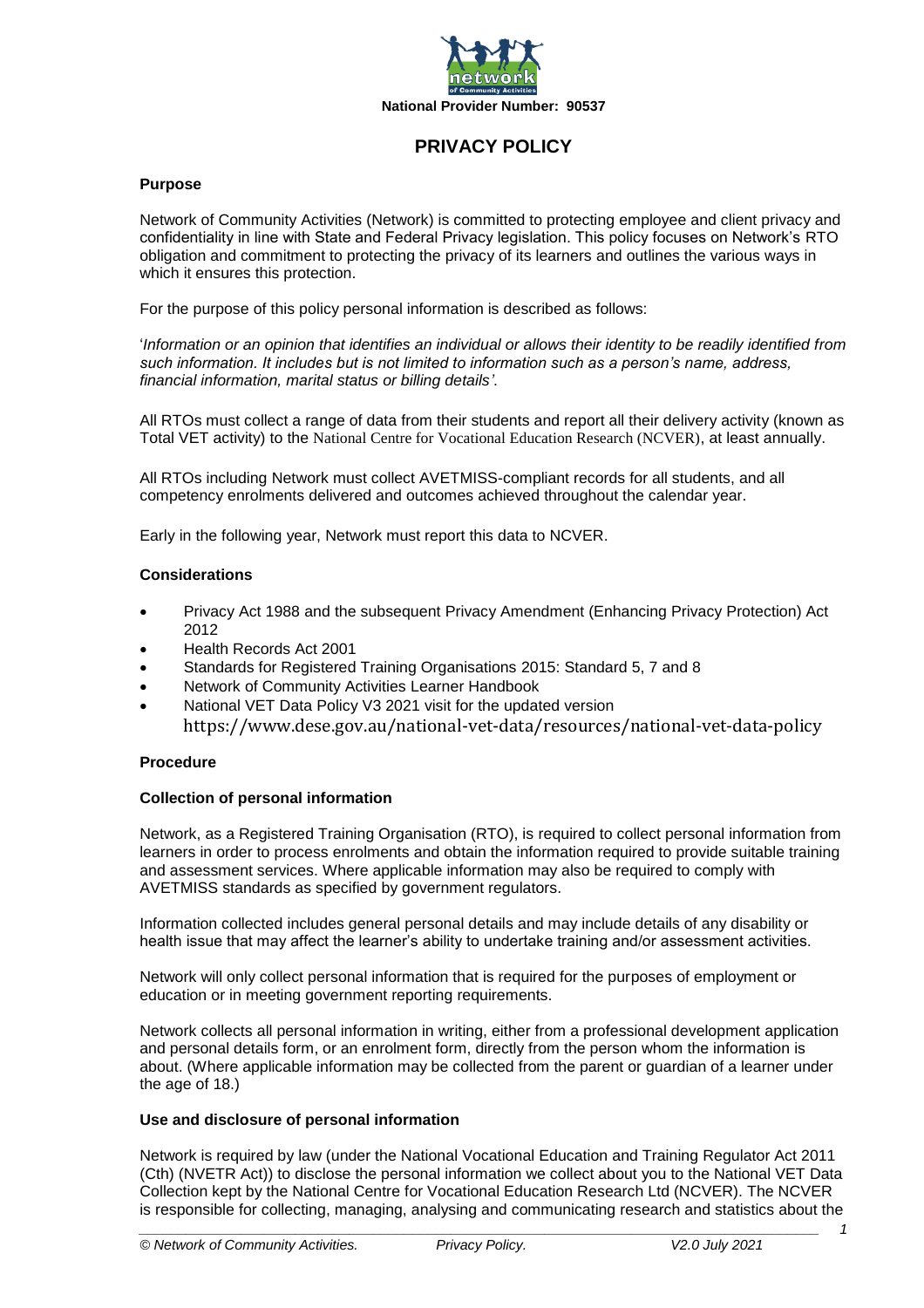

# **PRIVACY POLICY**

#### **Purpose**

Network of Community Activities (Network) is committed to protecting employee and client privacy and confidentiality in line with State and Federal Privacy legislation. This policy focuses on Network's RTO obligation and commitment to protecting the privacy of its learners and outlines the various ways in which it ensures this protection.

For the purpose of this policy personal information is described as follows:

'*Information or an opinion that identifies an individual or allows their identity to be readily identified from such information. It includes but is not limited to information such as a person's name, address, financial information, marital status or billing details'*.

All RTOs must collect a range of data from their students and report all their delivery activity (known as Total VET activity) to the [National Centre for Vocational Education Research \(NCVER\)](https://www.ncver.edu.au/), at least annually.

All RTOs including Network must collect AVETMISS-compliant records for all students, and all competency enrolments delivered and outcomes achieved throughout the calendar year.

Early in the following year, Network must report this data to NCVER.

# **Considerations**

- Privacy Act 1988 and the subsequent Privacy Amendment (Enhancing Privacy Protection) Act 2012
- Health Records Act 2001
- Standards for Registered Training Organisations 2015: Standard 5, 7 and 8
- Network of Community Activities Learner Handbook
- National VET Data Policy V3 2021 visit for the updated version <https://www.dese.gov.au/national-vet-data/resources/national-vet-data-policy>

#### **Procedure**

#### **Collection of personal information**

Network, as a Registered Training Organisation (RTO), is required to collect personal information from learners in order to process enrolments and obtain the information required to provide suitable training and assessment services. Where applicable information may also be required to comply with AVETMISS standards as specified by government regulators.

Information collected includes general personal details and may include details of any disability or health issue that may affect the learner's ability to undertake training and/or assessment activities.

Network will only collect personal information that is required for the purposes of employment or education or in meeting government reporting requirements.

Network collects all personal information in writing, either from a professional development application and personal details form, or an enrolment form, directly from the person whom the information is about. (Where applicable information may be collected from the parent or guardian of a learner under the age of 18.)

#### **Use and disclosure of personal information**

Network is required by law (under the National Vocational Education and Training Regulator Act 2011 (Cth) (NVETR Act)) to disclose the personal information we collect about you to the National VET Data Collection kept by the National Centre for Vocational Education Research Ltd (NCVER). The NCVER is responsible for collecting, managing, analysing and communicating research and statistics about the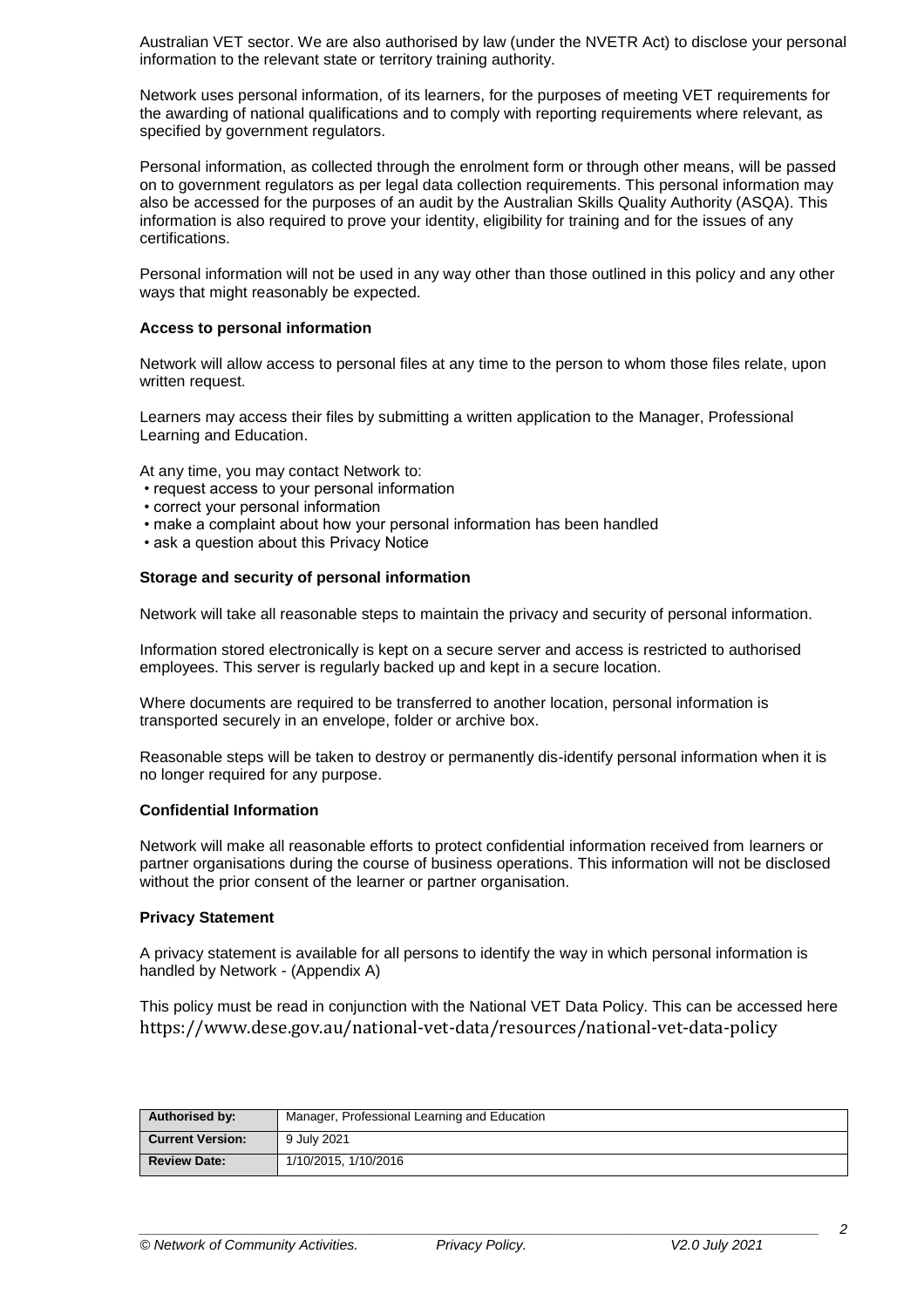Australian VET sector. We are also authorised by law (under the NVETR Act) to disclose your personal information to the relevant state or territory training authority.

Network uses personal information, of its learners, for the purposes of meeting VET requirements for the awarding of national qualifications and to comply with reporting requirements where relevant, as specified by government regulators.

Personal information, as collected through the enrolment form or through other means, will be passed on to government regulators as per legal data collection requirements. This personal information may also be accessed for the purposes of an audit by the Australian Skills Quality Authority (ASQA). This information is also required to prove your identity, eligibility for training and for the issues of any certifications.

Personal information will not be used in any way other than those outlined in this policy and any other ways that might reasonably be expected.

# **Access to personal information**

Network will allow access to personal files at any time to the person to whom those files relate, upon written request.

Learners may access their files by submitting a written application to the Manager, Professional Learning and Education.

At any time, you may contact Network to:

- request access to your personal information
- correct your personal information
- make a complaint about how your personal information has been handled
- ask a question about this Privacy Notice

# **Storage and security of personal information**

Network will take all reasonable steps to maintain the privacy and security of personal information.

Information stored electronically is kept on a secure server and access is restricted to authorised employees. This server is regularly backed up and kept in a secure location.

Where documents are required to be transferred to another location, personal information is transported securely in an envelope, folder or archive box.

Reasonable steps will be taken to destroy or permanently dis-identify personal information when it is no longer required for any purpose.

# **Confidential Information**

Network will make all reasonable efforts to protect confidential information received from learners or partner organisations during the course of business operations. This information will not be disclosed without the prior consent of the learner or partner organisation.

#### **Privacy Statement**

A privacy statement is available for all persons to identify the way in which personal information is handled by Network - (Appendix A)

This policy must be read in conjunction with the National VET Data Policy. This can be accessed here <https://www.dese.gov.au/national-vet-data/resources/national-vet-data-policy>

| Authorised by:          | Manager, Professional Learning and Education |
|-------------------------|----------------------------------------------|
| <b>Current Version:</b> | 9 July 2021                                  |
| <b>Review Date:</b>     | 1/10/2015, 1/10/2016                         |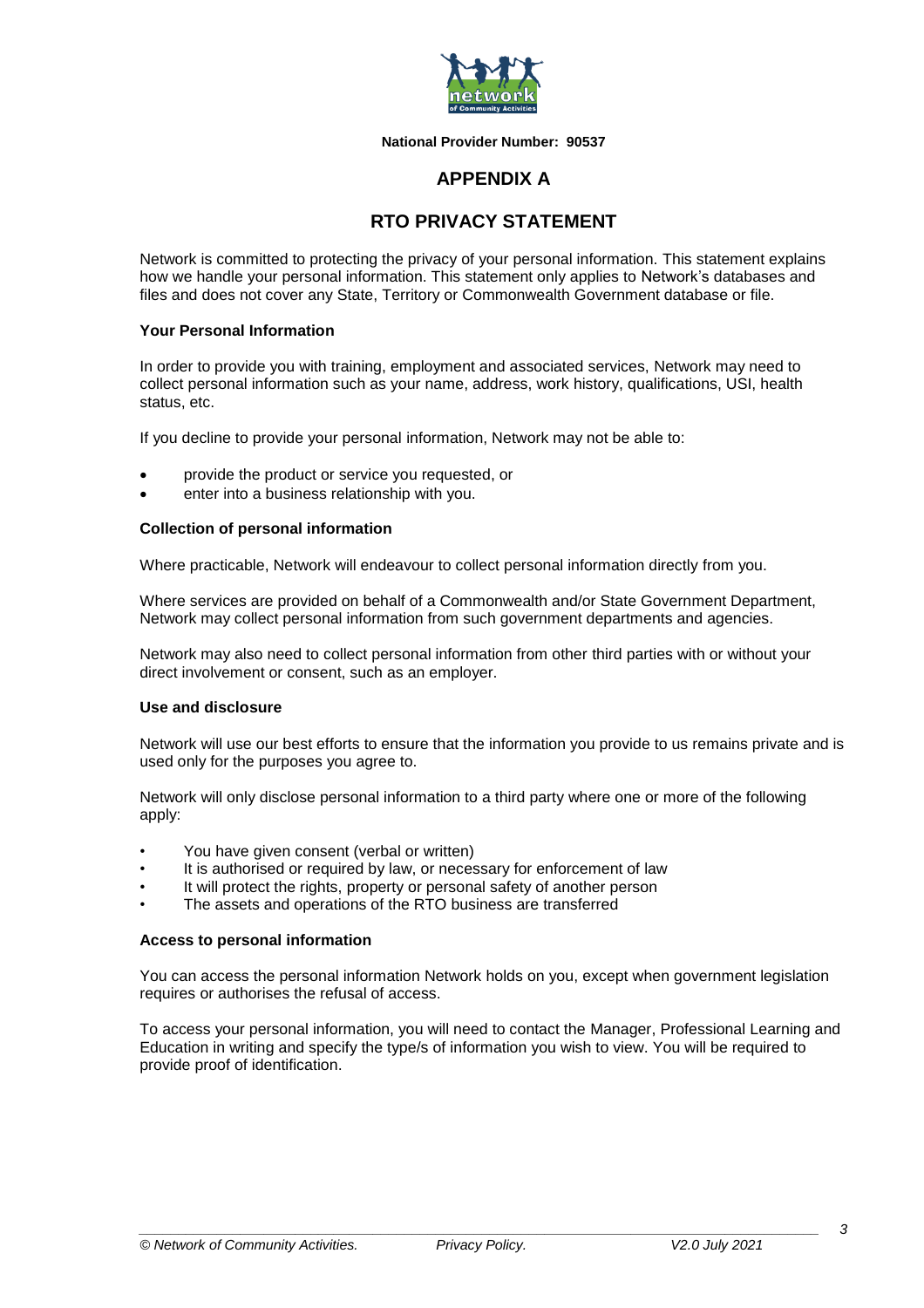

**National Provider Number: 90537**

# **APPENDIX A**

# **RTO PRIVACY STATEMENT**

Network is committed to protecting the privacy of your personal information. This statement explains how we handle your personal information. This statement only applies to Network's databases and files and does not cover any State, Territory or Commonwealth Government database or file.

## **Your Personal Information**

In order to provide you with training, employment and associated services, Network may need to collect personal information such as your name, address, work history, qualifications, USI, health status, etc.

If you decline to provide your personal information, Network may not be able to:

- provide the product or service you requested, or
- enter into a business relationship with you.

# **Collection of personal information**

Where practicable, Network will endeavour to collect personal information directly from you.

Where services are provided on behalf of a Commonwealth and/or State Government Department, Network may collect personal information from such government departments and agencies.

Network may also need to collect personal information from other third parties with or without your direct involvement or consent, such as an employer.

# **Use and disclosure**

Network will use our best efforts to ensure that the information you provide to us remains private and is used only for the purposes you agree to.

Network will only disclose personal information to a third party where one or more of the following apply:

- You have given consent (verbal or written)
- It is authorised or required by law, or necessary for enforcement of law
- It will protect the rights, property or personal safety of another person
- The assets and operations of the RTO business are transferred

#### **Access to personal information**

You can access the personal information Network holds on you, except when government legislation requires or authorises the refusal of access.

To access your personal information, you will need to contact the Manager, Professional Learning and Education in writing and specify the type/s of information you wish to view. You will be required to provide proof of identification.